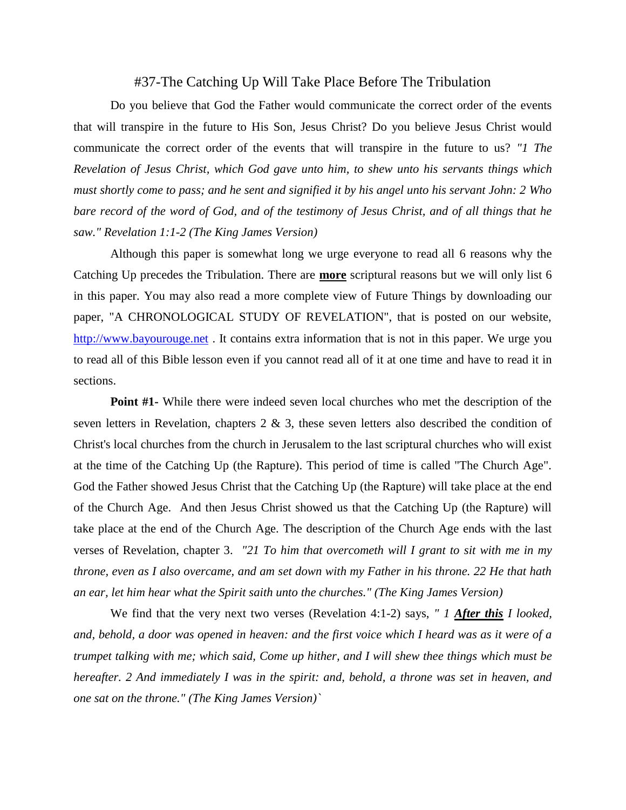## #37-The Catching Up Will Take Place Before The Tribulation

Do you believe that God the Father would communicate the correct order of the events that will transpire in the future to His Son, Jesus Christ? Do you believe Jesus Christ would communicate the correct order of the events that will transpire in the future to us? *"1 The Revelation of Jesus Christ, which God gave unto him, to shew unto his servants things which must shortly come to pass; and he sent and signified it by his angel unto his servant John: 2 Who bare record of the word of God, and of the testimony of Jesus Christ, and of all things that he saw." Revelation 1:1-2 (The King James Version)*

Although this paper is somewhat long we urge everyone to read all 6 reasons why the Catching Up precedes the Tribulation. There are **more** scriptural reasons but we will only list 6 in this paper. You may also read a more complete view of Future Things by downloading our paper, "A CHRONOLOGICAL STUDY OF REVELATION", that is posted on our website, [http://www.bayourouge.net](https://l.facebook.com/l.php?u=http%3A%2F%2Fwww.bayourouge.net%2F%3Ffbclid%3DIwAR1c8ZaaQuFpZFacaj1bwJ-7R59qCrhqsvfqYMuIjlJauBY6ejTLDzcd_XA&h=AT2d611LCDkJ5zUeQJRNBRNhjoE2P8hJZDJ3wS8D6F9G7WOrEBxO4ekNn7Xx5UKQSoNbBOFwGDuG6puzYC9j7oN0FPcNm3Da1DTqk5VIQJ1Oo8JF4UHyupXHu29fHUGl2BZkrw) . It contains extra information that is not in this paper. We urge you to read all of this Bible lesson even if you cannot read all of it at one time and have to read it in sections.

**Point #1-** While there were indeed seven local churches who met the description of the seven letters in Revelation, chapters  $2 \& 3$ , these seven letters also described the condition of Christ's local churches from the church in Jerusalem to the last scriptural churches who will exist at the time of the Catching Up (the Rapture). This period of time is called "The Church Age". God the Father showed Jesus Christ that the Catching Up (the Rapture) will take place at the end of the Church Age. And then Jesus Christ showed us that the Catching Up (the Rapture) will take place at the end of the Church Age. The description of the Church Age ends with the last verses of Revelation, chapter 3. *"21 To him that overcometh will I grant to sit with me in my throne, even as I also overcame, and am set down with my Father in his throne. 22 He that hath an ear, let him hear what the Spirit saith unto the churches." (The King James Version)*

We find that the very next two verses (Revelation 4:1-2) says, *" 1 After this I looked, and, behold, a door was opened in heaven: and the first voice which I heard was as it were of a trumpet talking with me; which said, Come up hither, and I will shew thee things which must be hereafter. 2 And immediately I was in the spirit: and, behold, a throne was set in heaven, and one sat on the throne." (The King James Version)`*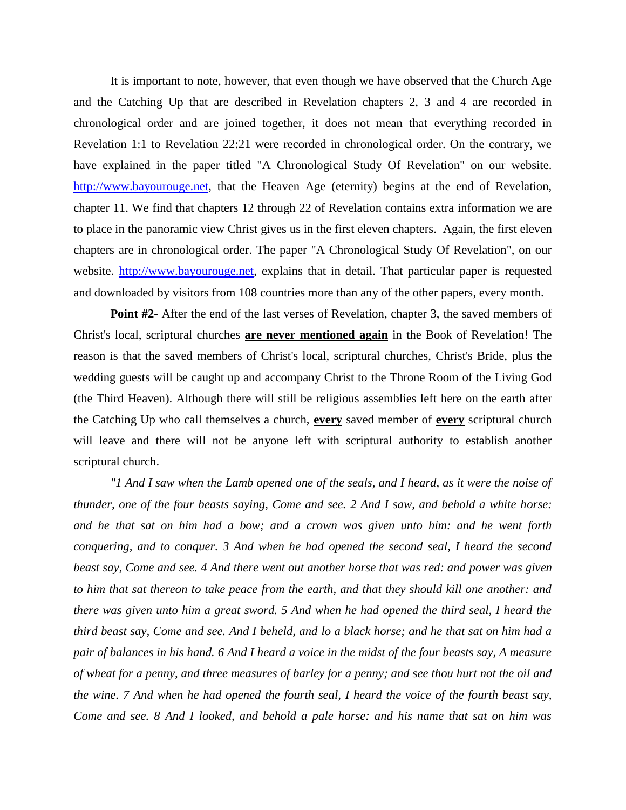It is important to note, however, that even though we have observed that the Church Age and the Catching Up that are described in Revelation chapters 2, 3 and 4 are recorded in chronological order and are joined together, it does not mean that everything recorded in Revelation 1:1 to Revelation 22:21 were recorded in chronological order. On the contrary, we have explained in the paper titled "A Chronological Study Of Revelation" on our website. [http://www.bayourouge.net,](https://l.facebook.com/l.php?u=http%3A%2F%2Fwww.bayourouge.net%2F%3Ffbclid%3DIwAR2bWJKyaIJvox9YOC8i3vXaN842no6WnC93F43Qe5J0c4jiVtox5dEaquo&h=AT0vhnnP4BAxfxgGHHxS9rhMZk3VSZiYfpt4eaHPYvMpKtUWmTKKefawTTPXNaG8H1pVUU9sbFvH-BLekBJktRRhq1DdYT7aSrEXlsU3I-lGMFo0xOD43gf9umJb_CQy_VxF5A) that the Heaven Age (eternity) begins at the end of Revelation, chapter 11. We find that chapters 12 through 22 of Revelation contains extra information we are to place in the panoramic view Christ gives us in the first eleven chapters. Again, the first eleven chapters are in chronological order. The paper "A Chronological Study Of Revelation", on our website. [http://www.bayourouge.net,](https://l.facebook.com/l.php?u=http%3A%2F%2Fwww.bayourouge.net%2F%3Ffbclid%3DIwAR00x4Z-tPYC169sO9CLvY77FvClbhDyHxvgoMeXUQUt1yU64gzklUkUF10&h=AT1nxCwz6X8kuSOvfcJTYYkzUDyReMMVZBqSx1xe5PYLO-5PaskOxxx-Fz6cCZJpsDo_9wk_2dIHtqZHO29wOytmC9BbquC3TFmQTtVyfo-NfPKud6KkyuURpnTT5q20ydbfWg) explains that in detail. That particular paper is requested and downloaded by visitors from 108 countries more than any of the other papers, every month.

**Point #2-** After the end of the last verses of Revelation, chapter 3, the saved members of Christ's local, scriptural churches **are never mentioned again** in the Book of Revelation! The reason is that the saved members of Christ's local, scriptural churches, Christ's Bride, plus the wedding guests will be caught up and accompany Christ to the Throne Room of the Living God (the Third Heaven). Although there will still be religious assemblies left here on the earth after the Catching Up who call themselves a church, **every** saved member of **every** scriptural church will leave and there will not be anyone left with scriptural authority to establish another scriptural church.

*"1 And I saw when the Lamb opened one of the seals, and I heard, as it were the noise of thunder, one of the four beasts saying, Come and see. 2 And I saw, and behold a white horse: and he that sat on him had a bow; and a crown was given unto him: and he went forth conquering, and to conquer. 3 And when he had opened the second seal, I heard the second beast say, Come and see. 4 And there went out another horse that was red: and power was given to him that sat thereon to take peace from the earth, and that they should kill one another: and there was given unto him a great sword. 5 And when he had opened the third seal, I heard the third beast say, Come and see. And I beheld, and lo a black horse; and he that sat on him had a pair of balances in his hand. 6 And I heard a voice in the midst of the four beasts say, A measure of wheat for a penny, and three measures of barley for a penny; and see thou hurt not the oil and the wine. 7 And when he had opened the fourth seal, I heard the voice of the fourth beast say, Come and see. 8 And I looked, and behold a pale horse: and his name that sat on him was*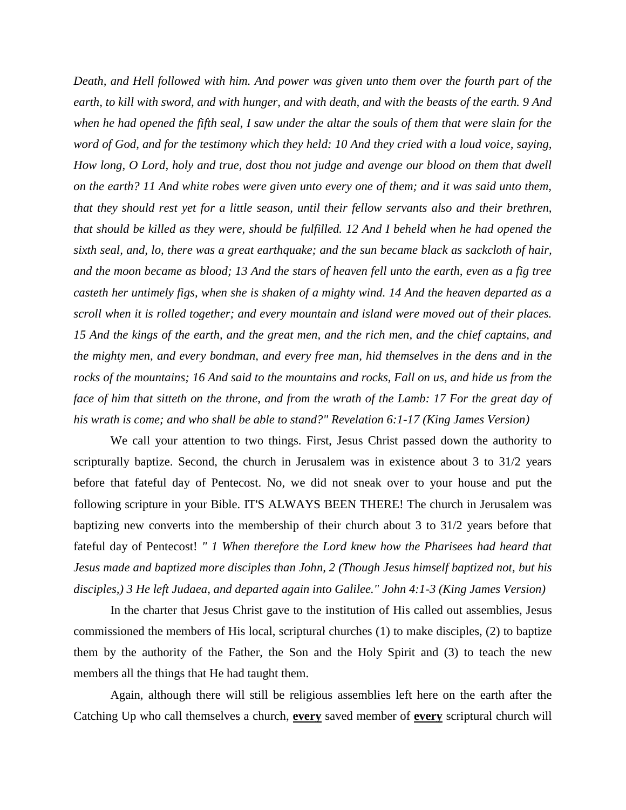*Death, and Hell followed with him. And power was given unto them over the fourth part of the earth, to kill with sword, and with hunger, and with death, and with the beasts of the earth. 9 And when he had opened the fifth seal, I saw under the altar the souls of them that were slain for the word of God, and for the testimony which they held: 10 And they cried with a loud voice, saying, How long, O Lord, holy and true, dost thou not judge and avenge our blood on them that dwell on the earth? 11 And white robes were given unto every one of them; and it was said unto them, that they should rest yet for a little season, until their fellow servants also and their brethren, that should be killed as they were, should be fulfilled. 12 And I beheld when he had opened the sixth seal, and, lo, there was a great earthquake; and the sun became black as sackcloth of hair, and the moon became as blood; 13 And the stars of heaven fell unto the earth, even as a fig tree casteth her untimely figs, when she is shaken of a mighty wind. 14 And the heaven departed as a scroll when it is rolled together; and every mountain and island were moved out of their places. 15 And the kings of the earth, and the great men, and the rich men, and the chief captains, and the mighty men, and every bondman, and every free man, hid themselves in the dens and in the rocks of the mountains; 16 And said to the mountains and rocks, Fall on us, and hide us from the face of him that sitteth on the throne, and from the wrath of the Lamb: 17 For the great day of his wrath is come; and who shall be able to stand?" Revelation 6:1-17 (King James Version)*

We call your attention to two things. First, Jesus Christ passed down the authority to scripturally baptize. Second, the church in Jerusalem was in existence about 3 to 31/2 years before that fateful day of Pentecost. No, we did not sneak over to your house and put the following scripture in your Bible. IT'S ALWAYS BEEN THERE! The church in Jerusalem was baptizing new converts into the membership of their church about 3 to 31/2 years before that fateful day of Pentecost! *" 1 When therefore the Lord knew how the Pharisees had heard that Jesus made and baptized more disciples than John, 2 (Though Jesus himself baptized not, but his disciples,) 3 He left Judaea, and departed again into Galilee." John 4:1-3 (King James Version)*

In the charter that Jesus Christ gave to the institution of His called out assemblies, Jesus commissioned the members of His local, scriptural churches (1) to make disciples, (2) to baptize them by the authority of the Father, the Son and the Holy Spirit and (3) to teach the new members all the things that He had taught them.

Again, although there will still be religious assemblies left here on the earth after the Catching Up who call themselves a church, **every** saved member of **every** scriptural church will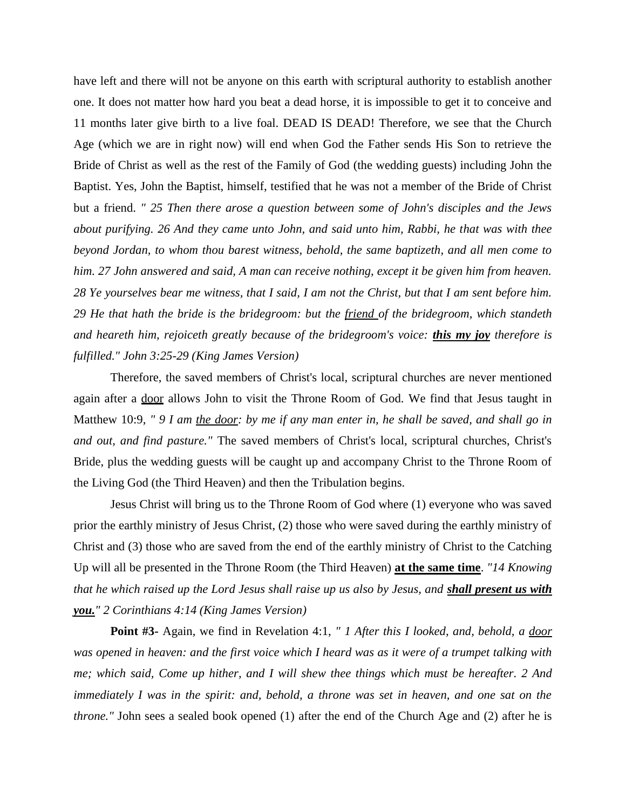have left and there will not be anyone on this earth with scriptural authority to establish another one. It does not matter how hard you beat a dead horse, it is impossible to get it to conceive and 11 months later give birth to a live foal. DEAD IS DEAD! Therefore, we see that the Church Age (which we are in right now) will end when God the Father sends His Son to retrieve the Bride of Christ as well as the rest of the Family of God (the wedding guests) including John the Baptist. Yes, John the Baptist, himself, testified that he was not a member of the Bride of Christ but a friend. *" 25 Then there arose a question between some of John's disciples and the Jews about purifying. 26 And they came unto John, and said unto him, Rabbi, he that was with thee beyond Jordan, to whom thou barest witness, behold, the same baptizeth, and all men come to him. 27 John answered and said, A man can receive nothing, except it be given him from heaven. 28 Ye yourselves bear me witness, that I said, I am not the Christ, but that I am sent before him. 29 He that hath the bride is the bridegroom: but the friend of the bridegroom, which standeth and heareth him, rejoiceth greatly because of the bridegroom's voice: this my joy therefore is fulfilled." John 3:25-29 (King James Version)*

Therefore, the saved members of Christ's local, scriptural churches are never mentioned again after a door allows John to visit the Throne Room of God. We find that Jesus taught in Matthew 10:9, *" 9 I am the door: by me if any man enter in, he shall be saved, and shall go in and out, and find pasture."* The saved members of Christ's local, scriptural churches, Christ's Bride, plus the wedding guests will be caught up and accompany Christ to the Throne Room of the Living God (the Third Heaven) and then the Tribulation begins.

Jesus Christ will bring us to the Throne Room of God where (1) everyone who was saved prior the earthly ministry of Jesus Christ, (2) those who were saved during the earthly ministry of Christ and (3) those who are saved from the end of the earthly ministry of Christ to the Catching Up will all be presented in the Throne Room (the Third Heaven) **at the same time**. *"14 Knowing that he which raised up the Lord Jesus shall raise up us also by Jesus, and <i>shall present us with you." 2 Corinthians 4:14 (King James Version)*

**Point #3-** Again, we find in Revelation 4:1, *" 1 After this I looked, and, behold, a door was opened in heaven: and the first voice which I heard was as it were of a trumpet talking with me; which said, Come up hither, and I will shew thee things which must be hereafter. 2 And immediately I was in the spirit: and, behold, a throne was set in heaven, and one sat on the throne."* John sees a sealed book opened (1) after the end of the Church Age and (2) after he is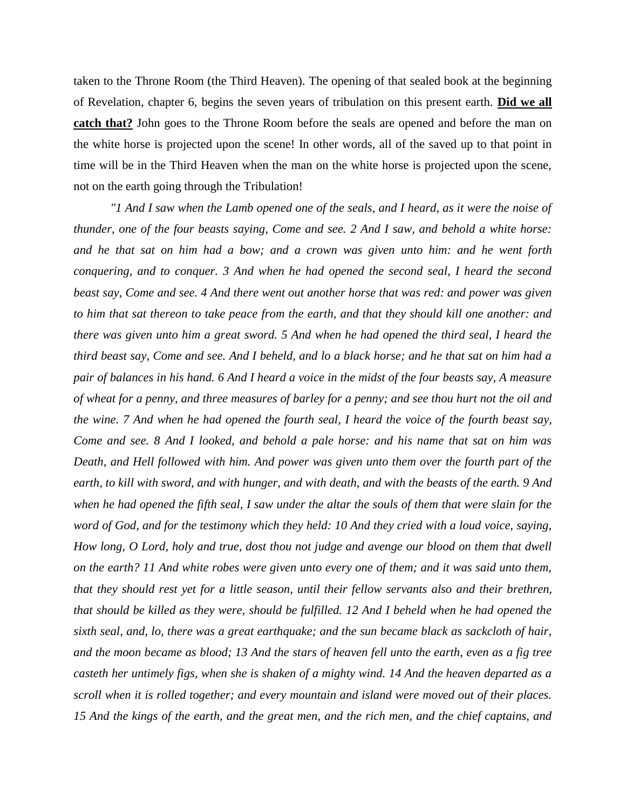taken to the Throne Room (the Third Heaven). The opening of that sealed book at the beginning of Revelation, chapter 6, begins the seven years of tribulation on this present earth. **Did we all catch that?** John goes to the Throne Room before the seals are opened and before the man on the white horse is projected upon the scene! In other words, all of the saved up to that point in time will be in the Third Heaven when the man on the white horse is projected upon the scene, not on the earth going through the Tribulation!

*"1 And I saw when the Lamb opened one of the seals, and I heard, as it were the noise of thunder, one of the four beasts saying, Come and see. 2 And I saw, and behold a white horse: and he that sat on him had a bow; and a crown was given unto him: and he went forth conquering, and to conquer. 3 And when he had opened the second seal, I heard the second beast say, Come and see. 4 And there went out another horse that was red: and power was given to him that sat thereon to take peace from the earth, and that they should kill one another: and there was given unto him a great sword. 5 And when he had opened the third seal, I heard the third beast say, Come and see. And I beheld, and lo a black horse; and he that sat on him had a pair of balances in his hand. 6 And I heard a voice in the midst of the four beasts say, A measure of wheat for a penny, and three measures of barley for a penny; and see thou hurt not the oil and the wine. 7 And when he had opened the fourth seal, I heard the voice of the fourth beast say, Come and see. 8 And I looked, and behold a pale horse: and his name that sat on him was Death, and Hell followed with him. And power was given unto them over the fourth part of the earth, to kill with sword, and with hunger, and with death, and with the beasts of the earth. 9 And when he had opened the fifth seal, I saw under the altar the souls of them that were slain for the word of God, and for the testimony which they held: 10 And they cried with a loud voice, saying, How long, O Lord, holy and true, dost thou not judge and avenge our blood on them that dwell on the earth? 11 And white robes were given unto every one of them; and it was said unto them, that they should rest yet for a little season, until their fellow servants also and their brethren, that should be killed as they were, should be fulfilled. 12 And I beheld when he had opened the sixth seal, and, lo, there was a great earthquake; and the sun became black as sackcloth of hair, and the moon became as blood; 13 And the stars of heaven fell unto the earth, even as a fig tree casteth her untimely figs, when she is shaken of a mighty wind. 14 And the heaven departed as a scroll when it is rolled together; and every mountain and island were moved out of their places. 15 And the kings of the earth, and the great men, and the rich men, and the chief captains, and*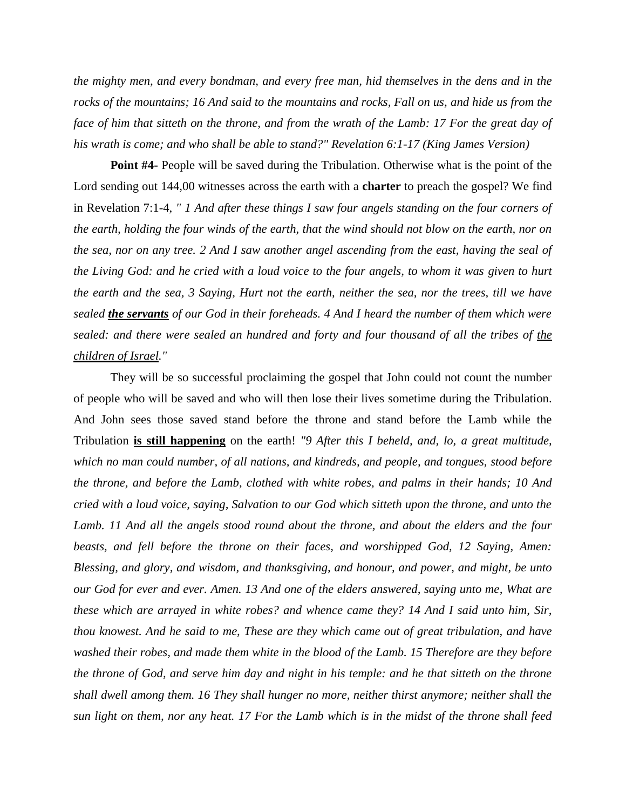*the mighty men, and every bondman, and every free man, hid themselves in the dens and in the rocks of the mountains; 16 And said to the mountains and rocks, Fall on us, and hide us from the*  face of him that sitteth on the throne, and from the wrath of the Lamb: 17 For the great day of *his wrath is come; and who shall be able to stand?" Revelation 6:1-17 (King James Version)*

**Point #4-** People will be saved during the Tribulation. Otherwise what is the point of the Lord sending out 144,00 witnesses across the earth with a **charter** to preach the gospel? We find in Revelation 7:1-4, *" 1 And after these things I saw four angels standing on the four corners of the earth, holding the four winds of the earth, that the wind should not blow on the earth, nor on the sea, nor on any tree. 2 And I saw another angel ascending from the east, having the seal of the Living God: and he cried with a loud voice to the four angels, to whom it was given to hurt the earth and the sea, 3 Saying, Hurt not the earth, neither the sea, nor the trees, till we have sealed the servants of our God in their foreheads. 4 And I heard the number of them which were sealed: and there were sealed an hundred and forty and four thousand of all the tribes of the children of Israel."*

They will be so successful proclaiming the gospel that John could not count the number of people who will be saved and who will then lose their lives sometime during the Tribulation. And John sees those saved stand before the throne and stand before the Lamb while the Tribulation **is still happening** on the earth! *"9 After this I beheld, and, lo, a great multitude, which no man could number, of all nations, and kindreds, and people, and tongues, stood before the throne, and before the Lamb, clothed with white robes, and palms in their hands; 10 And cried with a loud voice, saying, Salvation to our God which sitteth upon the throne, and unto the*  Lamb. 11 And all the angels stood round about the throne, and about the elders and the four *beasts, and fell before the throne on their faces, and worshipped God, 12 Saying, Amen: Blessing, and glory, and wisdom, and thanksgiving, and honour, and power, and might, be unto our God for ever and ever. Amen. 13 And one of the elders answered, saying unto me, What are these which are arrayed in white robes? and whence came they? 14 And I said unto him, Sir, thou knowest. And he said to me, These are they which came out of great tribulation, and have washed their robes, and made them white in the blood of the Lamb. 15 Therefore are they before the throne of God, and serve him day and night in his temple: and he that sitteth on the throne shall dwell among them. 16 They shall hunger no more, neither thirst anymore; neither shall the sun light on them, nor any heat. 17 For the Lamb which is in the midst of the throne shall feed*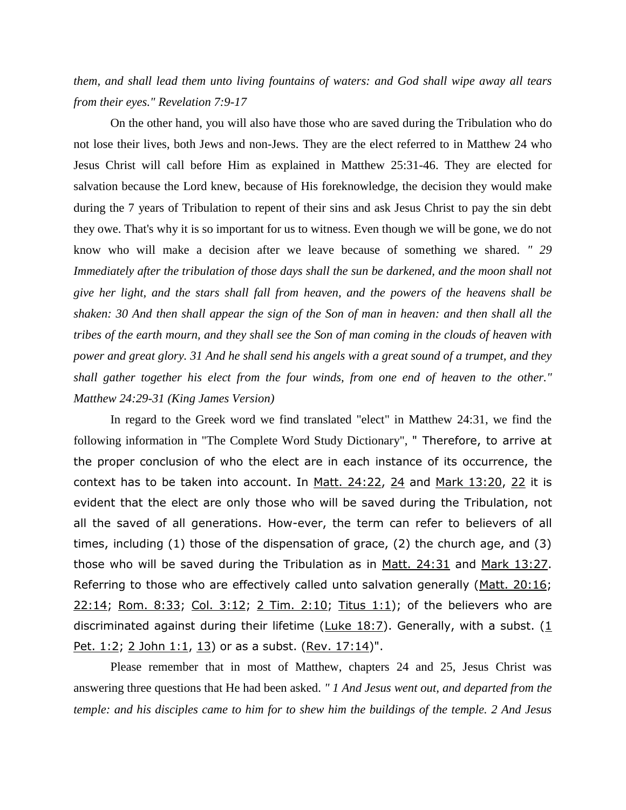*them, and shall lead them unto living fountains of waters: and God shall wipe away all tears from their eyes." Revelation 7:9-17*

On the other hand, you will also have those who are saved during the Tribulation who do not lose their lives, both Jews and non-Jews. They are the elect referred to in Matthew 24 who Jesus Christ will call before Him as explained in Matthew 25:31-46. They are elected for salvation because the Lord knew, because of His foreknowledge, the decision they would make during the 7 years of Tribulation to repent of their sins and ask Jesus Christ to pay the sin debt they owe. That's why it is so important for us to witness. Even though we will be gone, we do not know who will make a decision after we leave because of something we shared. *" 29 Immediately after the tribulation of those days shall the sun be darkened, and the moon shall not give her light, and the stars shall fall from heaven, and the powers of the heavens shall be shaken: 30 And then shall appear the sign of the Son of man in heaven: and then shall all the tribes of the earth mourn, and they shall see the Son of man coming in the clouds of heaven with power and great glory. 31 And he shall send his angels with a great sound of a trumpet, and they shall gather together his elect from the four winds, from one end of heaven to the other." Matthew 24:29-31 (King James Version)*

In regard to the Greek word we find translated "elect" in Matthew 24:31, we find the following information in "The Complete Word Study Dictionary", " Therefore, to arrive at the proper conclusion of who the elect are in each instance of its occurrence, the context has to be taken into account. In [Matt. 24:22,](https://l.facebook.com/l.php?u=http%3A%2F%2Fwww.crossbooks.com%2Fverse.asp%3Fref%3DMt%2B24%253A22%26fbclid%3DIwAR1Rx8kvAeNEEB0xZJ7A0VUtT_FWumdFMQ5JzRyXXWoLfsMiofofCUavJE4&h=AT1wXYh-ZqkoHA5M-nD4kP3Ejlfi59b_6ueBmsQTAAhktWhY7oQFevD_PRa7dm1_1SmLRaTh442txDhyR6PB1rW09aShQt-i6PzVf5lA3xFKQyFv5c8CP5popJTs3aCD4IgS8g) [24](https://l.facebook.com/l.php?u=http%3A%2F%2Fwww.crossbooks.com%2Fverse.asp%3Fref%3DMt%2B24%253A24%26fbclid%3DIwAR0rJJeBJ07XXONoW391Kc2gOJhUD2J_XDeEuYLC0f4aWMojeq0tssPpT0c&h=AT0Z0ljdfdujIFxKbUHmexcWQlAWRtCAcELKzmnkP30T3hD8MKTVRjtqHzbcuqULy-eHyKfOyJh5d6_ZQSH_0M6pSLuRXhonwcItYS9fjnO0rhaWPtzSL2h6zi2e4dec8p8Gpg) and [Mark 13:20,](https://l.facebook.com/l.php?u=http%3A%2F%2Fwww.crossbooks.com%2Fverse.asp%3Fref%3DMk%2B13%253A20%26fbclid%3DIwAR3m0RyMcg0FxMwSRPmJeJJYPZsOkvRx-g9hZHb1whDgJGxHmNTULXkC6q8&h=AT3fNoj0ClRZAHoufNbR5qpzGEucKRl3SmVGmETHn1BsoAAbJDCXrBJ9AHorFA719Uoedd1yYnMkzMbMSKHbptEspqFreTxmUiYOPWNOcxXpgqJMKBlJakTXu8X19Td7BYVPTg) [22](https://l.facebook.com/l.php?u=http%3A%2F%2Fwww.crossbooks.com%2Fverse.asp%3Fref%3DMk%2B13%253A22%26fbclid%3DIwAR24eMsKajoAd4xdJbHb3nV4SyJz5Kc0YFTjm_4KAX1HpLl5F5RrFTfhoZs&h=AT038JsqamKXIqebn9D3Aehx5KU3zUTDAUhdIsF61vbrd0YLwrFkxF6sQ10_QQYuqhki3e9IYZXWVgiB2nSdg9STp5WjIh3nXkNIjdSYydDLxHtmFcFMJXBnDLfkajd_O6lHAQ) it is evident that the elect are only those who will be saved during the Tribulation, not all the saved of all generations. How-ever, the term can refer to believers of all times, including (1) those of the dispensation of grace, (2) the church age, and (3) those who will be saved during the Tribulation as in [Matt. 24:31](https://l.facebook.com/l.php?u=http%3A%2F%2Fwww.crossbooks.com%2Fverse.asp%3Fref%3DMt%2B24%253A31%26fbclid%3DIwAR3aD-MZQaHDM2SBenYvNTAkadg5X38Li0RK6GIYPi6-1fDZH7N2Cvx5Kxk&h=AT1Zwg-jfa7P4XphiurUlksgxAXv8XpFeSNKshx2u-PPzvW87Zo_d281uoXwZ4-3z1b9KHB6JrtA4WoPurFJcEw63WdJF5-pOxeXo34ALmPNZXQMjZ4ncBLWNTQk0WSlnkb8bw) and [Mark 13:27.](https://l.facebook.com/l.php?u=http%3A%2F%2Fwww.crossbooks.com%2Fverse.asp%3Fref%3DMk%2B13%253A27%26fbclid%3DIwAR29loNNSxp1ApGmi3JJoTivseDpC-ZBniZqRsXBtjHCc7B4dWZrXVDrf_s&h=AT3jkcid7KM9pbZvmX3Uc0TlzgbuI9FSueC3HJQHsAXtiQS3MzEYk91An64tibKq5xhGKB8w8DAS1qAri0VXSOg5JJ9ZXpT9xOf1IHnyn8Sj6ID7dxqgA6e9t4EzK9YNZzIWSA) Referring to those who are effectively called unto salvation generally [\(Matt. 20:16;](https://l.facebook.com/l.php?u=http%3A%2F%2Fwww.crossbooks.com%2Fverse.asp%3Fref%3DMt%2B20%253A16%26fbclid%3DIwAR02_unTcpwYx01CewVstrmqBztHc1gjb7-3PSrRYT3v-NnWg9wVqC1Qh4g&h=AT0O26UjsIavvRWsT13olKqby67g4zZTYANFX3Y3a9SnjPNHUv7XHiiQ_SXST7Xo5QU2yd_yMwBDWZjLrC3LbealcvzXeJiOaTJiqDx08TnV7oWNw8hA4SUv0DfkB0rmoXf4kg) [22:14;](https://l.facebook.com/l.php?u=http%3A%2F%2Fwww.crossbooks.com%2Fverse.asp%3Fref%3DMt%2B22%253A14%26fbclid%3DIwAR1gv_MogQecDoc-QD2a8SU0CLWZ3mN3kJYJIor-sOYMmJXzoqgycKbUZhs&h=AT0uQ4GjrtTkMUCfUI_AJFXPPNBQ_kFvuxSeqCdrCNE1bzckPM-ykNliMjArwXLhgPKKiOVb-NtRM3RgrU8M4mDQvaKIzAi8uycIaFHy8QFQTZIgaLp3WzkmnZ9WVYeb-aWY1Q) [Rom. 8:33;](https://l.facebook.com/l.php?u=http%3A%2F%2Fwww.crossbooks.com%2Fverse.asp%3Fref%3DRo%2B8%253A33%26fbclid%3DIwAR385RfWl2WQN10ygGZziAXgHeJPndzzGV4znwispRkLt4-oz24mdoYO34k&h=AT2SF1taFe8p8_VrV3URuYwL7hAECqg1AR2zrxmq-aGkcEoh6K9eqnukJcpTA8nbxNIXfaA_sa6v1YYAi4IHgoKdJq0nxMr9sqeC1-vTMdN6_ntiWvxJe5LcKGzGOBWr4bioUg) [Col. 3:12;](https://l.facebook.com/l.php?u=http%3A%2F%2Fwww.crossbooks.com%2Fverse.asp%3Fref%3DCol%2B3%253A12%26fbclid%3DIwAR2vXaUT1CFKt4h1xvLFmq0rMKgCG27bJqv2bMNJ1dGTxwtFa6y--jduWG8&h=AT1EOWp5V_hlHv6UXUnW_WODNOadJEpvbIPenrMOUT60H3LSQsfNvnKpB_hHPgiCPNa1XeSijprH7_mOO29XJoRD3WyGY958cCr9H7CiHcrLCNwWNYOmplH0ZOmQDXYCxwc6jQ) [2 Tim. 2:10;](https://l.facebook.com/l.php?u=http%3A%2F%2Fwww.crossbooks.com%2Fverse.asp%3Fref%3D2Ti%2B2%253A10%26fbclid%3DIwAR1aShkUljU2leyeVtBORPNXfQ7fi2OqM-ZOcqzFgCfk9nwEN7EiP5AdD9A&h=AT0eul-8t26y5ZJjI8LqZgj8YqjtLaOA8-RShPKIBJGydDUEB7DfuxnE0QhkglJhyPZjin5mD6U278Ro3oxefFytaCMUOdGAPzgOfb6RA2TIYdBDLihZb-YXUOcne7Teg8uECg) [Titus 1:1\)](https://l.facebook.com/l.php?u=http%3A%2F%2Fwww.crossbooks.com%2Fverse.asp%3Fref%3DTit%2B1%253A1%26fbclid%3DIwAR2wZVuC6WuyVZEHW44C8WZVNSVtahfQ8DeEtHPlP87RlE0aJpRmBRhg-a0&h=AT2_-19LWK9zWefmO1c8jEs8IPGDCmc_MQb4Fy83fIDQquoWVHx8Htz_jp84HMku-IWUforRtZleIJHQ3opIyqUfEEEShAXUlm2HTeTMW2Pq44uHBpHNJtBgAe9icKoALdI_bA); of the believers who are discriminated against during their lifetime [\(Luke 18:7\)](https://l.facebook.com/l.php?u=http%3A%2F%2Fwww.crossbooks.com%2Fverse.asp%3Fref%3DLk%2B18%253A7%26fbclid%3DIwAR13y6Ga8iM-NvBwqppMhW3JgorNZ_WDQsLbQFYsTiG-tboIwcw10gjwffA&h=AT1VTEL2wZ2cNaxXnIJ6YpNmAZKJmnoyYYXH2i3a0h9VdysU_MlvVDrroHUcLN0lWHAPtCIBCzb1MoRWH7LQlaOtzR89KKOiCFhrkff2X2zdfjiBl9vAynHhHDBSoqstA4xj4Q). Generally, with a subst. ( $1$ [Pet. 1:2;](https://l.facebook.com/l.php?u=http%3A%2F%2Fwww.crossbooks.com%2Fverse.asp%3Fref%3D1Pe%2B1%253A2%26fbclid%3DIwAR2mREdWcyhQJytbuW0MteFfQewt4aIuOQtNz8jrIEmsutUlJHMxbJsl2cg&h=AT15quqmOB9F8xY4-H9uuTkXqsGh0ytMjDc5ezhG_HJMdhu9Oa4x9haj12mfBd9Smr3i1X5tc9WTaTivzgGd4dx1m3ByEjKqo8zcP5br-9uHGn_hrywnnf3cNXBzZCPKFXGCRQ) [2 John 1:1,](https://l.facebook.com/l.php?u=http%3A%2F%2Fwww.crossbooks.com%2Fverse.asp%3Fref%3D2Jn%2B1%253A1%26fbclid%3DIwAR3U1Q772jCJuBhbP6m_rahyRkng_cRO69wUXTjt4AuufWEKm5_y-zZi_IM&h=AT2T9CGntN9TPrAvrljZ3ZdCphVLWtdiXxS6gG4jV2xUggZmkgeor-vY-q8FHbZCJTlvleGXHv0eM3n5YfU6fBwoKA4vgYj1pFDLeSrP3GdJb4BC1K4LarVL990YfBX6heoPSw) [13\)](https://l.facebook.com/l.php?u=http%3A%2F%2Fwww.crossbooks.com%2Fverse.asp%3Fref%3D2Jn%2B1%253A13%26fbclid%3DIwAR2YLnZcDj0pmi-fipXmkQRpYJ34otNLMk-ultIqfB09ALuMhMu4HLipT9A&h=AT0kVazydT_2080D-kFKhixpZbOLhSoGAYdjiwfgd27tp7Phw2Y9G_NqSMkpkGYmP1jQ8lDPNb71iIaeRSLZw-ENsL5ETQ6L0oeuFzwqUHuO-TbUeV5q3gv6a7VWzuT4Iguyuw) or as a subst. [\(Rev. 17:14\)](https://l.facebook.com/l.php?u=http%3A%2F%2Fwww.crossbooks.com%2Fverse.asp%3Fref%3DRev%2B17%253A14%26fbclid%3DIwAR00OD2aWjutecPw6iHSi_qCV6Nx9tAj0xQUALiqyLhflkrhafFq2P33t9Q&h=AT3WFiXHeDuk7YskPByeScZ8Lyb4DG5Hm2OFbd2bJ5V2JW7-hjFnqfnK1v6rSrdmHSv3LfxSP54wwy9kbCQ6hzf4yhX7_T8yWxMa7UqvoSUl8fU8QU3ZcAjTHTTRbGJiEa2MPQ)".

Please remember that in most of Matthew, chapters 24 and 25, Jesus Christ was answering three questions that He had been asked. *" 1 And Jesus went out, and departed from the temple: and his disciples came to him for to shew him the buildings of the temple. 2 And Jesus*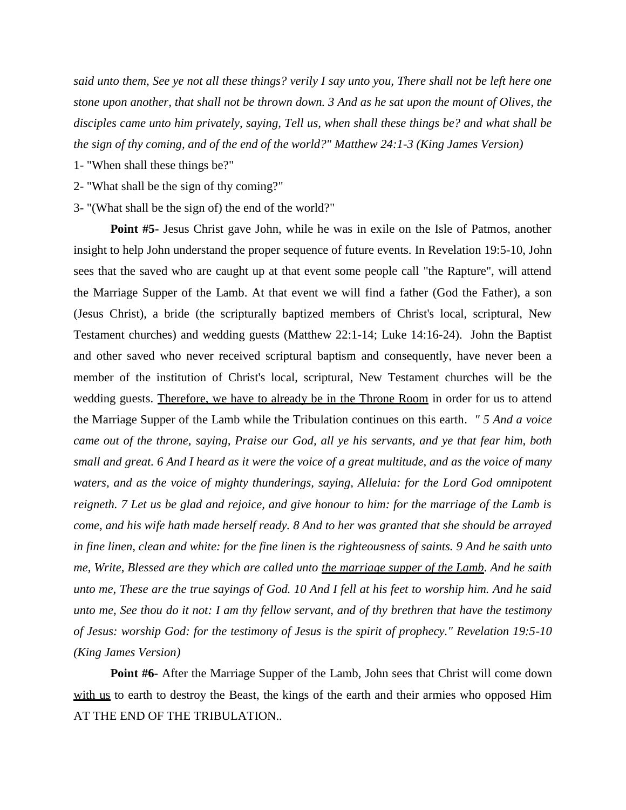*said unto them, See ye not all these things? verily I say unto you, There shall not be left here one stone upon another, that shall not be thrown down. 3 And as he sat upon the mount of Olives, the disciples came unto him privately, saying, Tell us, when shall these things be? and what shall be the sign of thy coming, and of the end of the world?" Matthew 24:1-3 (King James Version)*

1- "When shall these things be?"

- 2- "What shall be the sign of thy coming?"
- 3- "(What shall be the sign of) the end of the world?"

**Point #5-** Jesus Christ gave John, while he was in exile on the Isle of Patmos, another insight to help John understand the proper sequence of future events. In Revelation 19:5-10, John sees that the saved who are caught up at that event some people call "the Rapture", will attend the Marriage Supper of the Lamb. At that event we will find a father (God the Father), a son (Jesus Christ), a bride (the scripturally baptized members of Christ's local, scriptural, New Testament churches) and wedding guests (Matthew 22:1-14; Luke 14:16-24). John the Baptist and other saved who never received scriptural baptism and consequently, have never been a member of the institution of Christ's local, scriptural, New Testament churches will be the wedding guests. Therefore, we have to already be in the Throne Room in order for us to attend the Marriage Supper of the Lamb while the Tribulation continues on this earth. *" 5 And a voice came out of the throne, saying, Praise our God, all ye his servants, and ye that fear him, both small and great. 6 And I heard as it were the voice of a great multitude, and as the voice of many waters, and as the voice of mighty thunderings, saying, Alleluia: for the Lord God omnipotent reigneth. 7 Let us be glad and rejoice, and give honour to him: for the marriage of the Lamb is come, and his wife hath made herself ready. 8 And to her was granted that she should be arrayed in fine linen, clean and white: for the fine linen is the righteousness of saints. 9 And he saith unto me, Write, Blessed are they which are called unto the marriage supper of the Lamb. And he saith unto me, These are the true sayings of God. 10 And I fell at his feet to worship him. And he said unto me, See thou do it not: I am thy fellow servant, and of thy brethren that have the testimony of Jesus: worship God: for the testimony of Jesus is the spirit of prophecy." Revelation 19:5-10 (King James Version)*

**Point #6-** After the Marriage Supper of the Lamb, John sees that Christ will come down with us to earth to destroy the Beast, the kings of the earth and their armies who opposed Him AT THE END OF THE TRIBULATION..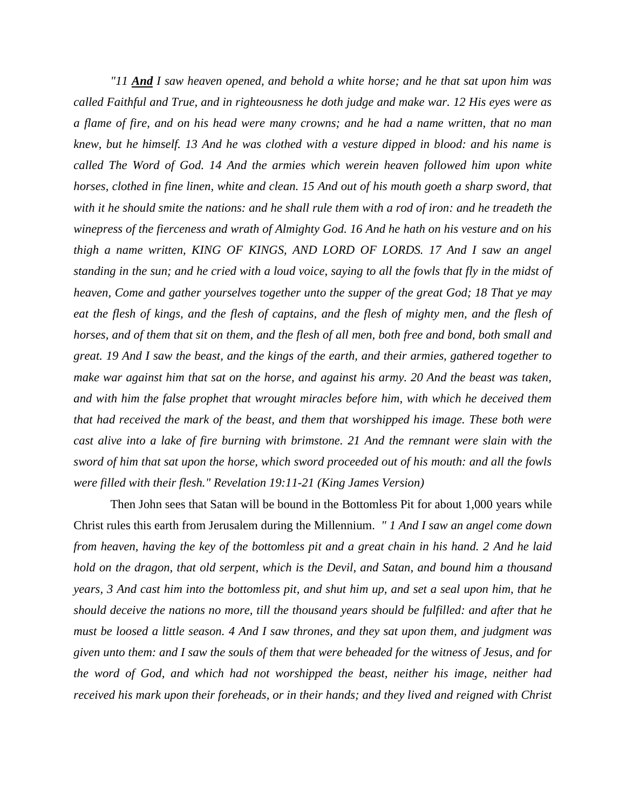*"11 And I saw heaven opened, and behold a white horse; and he that sat upon him was called Faithful and True, and in righteousness he doth judge and make war. 12 His eyes were as a flame of fire, and on his head were many crowns; and he had a name written, that no man knew, but he himself. 13 And he was clothed with a vesture dipped in blood: and his name is called The Word of God. 14 And the armies which werein heaven followed him upon white horses, clothed in fine linen, white and clean. 15 And out of his mouth goeth a sharp sword, that with it he should smite the nations: and he shall rule them with a rod of iron: and he treadeth the winepress of the fierceness and wrath of Almighty God. 16 And he hath on his vesture and on his thigh a name written, KING OF KINGS, AND LORD OF LORDS. 17 And I saw an angel standing in the sun; and he cried with a loud voice, saying to all the fowls that fly in the midst of heaven, Come and gather yourselves together unto the supper of the great God; 18 That ye may eat the flesh of kings, and the flesh of captains, and the flesh of mighty men, and the flesh of horses, and of them that sit on them, and the flesh of all men, both free and bond, both small and great. 19 And I saw the beast, and the kings of the earth, and their armies, gathered together to make war against him that sat on the horse, and against his army. 20 And the beast was taken, and with him the false prophet that wrought miracles before him, with which he deceived them that had received the mark of the beast, and them that worshipped his image. These both were cast alive into a lake of fire burning with brimstone. 21 And the remnant were slain with the sword of him that sat upon the horse, which sword proceeded out of his mouth: and all the fowls were filled with their flesh." Revelation 19:11-21 (King James Version)*

Then John sees that Satan will be bound in the Bottomless Pit for about 1,000 years while Christ rules this earth from Jerusalem during the Millennium. *" 1 And I saw an angel come down from heaven, having the key of the bottomless pit and a great chain in his hand. 2 And he laid hold on the dragon, that old serpent, which is the Devil, and Satan, and bound him a thousand years, 3 And cast him into the bottomless pit, and shut him up, and set a seal upon him, that he should deceive the nations no more, till the thousand years should be fulfilled: and after that he must be loosed a little season. 4 And I saw thrones, and they sat upon them, and judgment was given unto them: and I saw the souls of them that were beheaded for the witness of Jesus, and for the word of God, and which had not worshipped the beast, neither his image, neither had received his mark upon their foreheads, or in their hands; and they lived and reigned with Christ*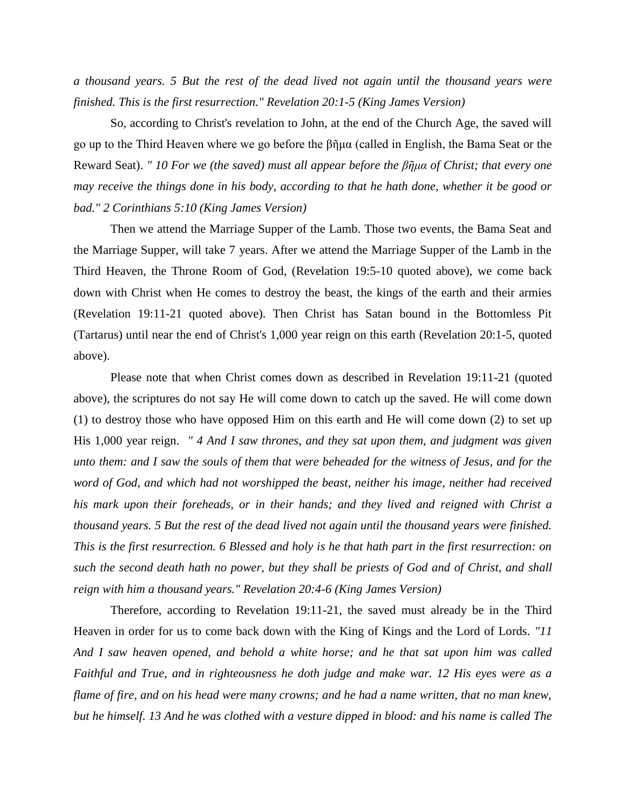*a thousand years. 5 But the rest of the dead lived not again until the thousand years were finished. This is the first resurrection." Revelation 20:1-5 (King James Version)*

So, according to Christ's revelation to John, at the end of the Church Age, the saved will go up to the Third Heaven where we go before the βῆμα (called in English, the Bama Seat or the Reward Seat). *" 10 For we (the saved) must all appear before the βῆμα of Christ; that every one may receive the things done in his body, according to that he hath done, whether it be good or bad." 2 Corinthians 5:10 (King James Version)*

Then we attend the Marriage Supper of the Lamb. Those two events, the Bama Seat and the Marriage Supper, will take 7 years. After we attend the Marriage Supper of the Lamb in the Third Heaven, the Throne Room of God, (Revelation 19:5-10 quoted above), we come back down with Christ when He comes to destroy the beast, the kings of the earth and their armies (Revelation 19:11-21 quoted above). Then Christ has Satan bound in the Bottomless Pit (Tartarus) until near the end of Christ's 1,000 year reign on this earth (Revelation 20:1-5, quoted above).

Please note that when Christ comes down as described in Revelation 19:11-21 (quoted above), the scriptures do not say He will come down to catch up the saved. He will come down (1) to destroy those who have opposed Him on this earth and He will come down (2) to set up His 1,000 year reign. *" 4 And I saw thrones, and they sat upon them, and judgment was given unto them: and I saw the souls of them that were beheaded for the witness of Jesus, and for the word of God, and which had not worshipped the beast, neither his image, neither had received his mark upon their foreheads, or in their hands; and they lived and reigned with Christ a thousand years. 5 But the rest of the dead lived not again until the thousand years were finished. This is the first resurrection. 6 Blessed and holy is he that hath part in the first resurrection: on such the second death hath no power, but they shall be priests of God and of Christ, and shall reign with him a thousand years." Revelation 20:4-6 (King James Version)*

Therefore, according to Revelation 19:11-21, the saved must already be in the Third Heaven in order for us to come back down with the King of Kings and the Lord of Lords. *"11 And I saw heaven opened, and behold a white horse; and he that sat upon him was called Faithful and True, and in righteousness he doth judge and make war. 12 His eyes were as a flame of fire, and on his head were many crowns; and he had a name written, that no man knew, but he himself. 13 And he was clothed with a vesture dipped in blood: and his name is called The*